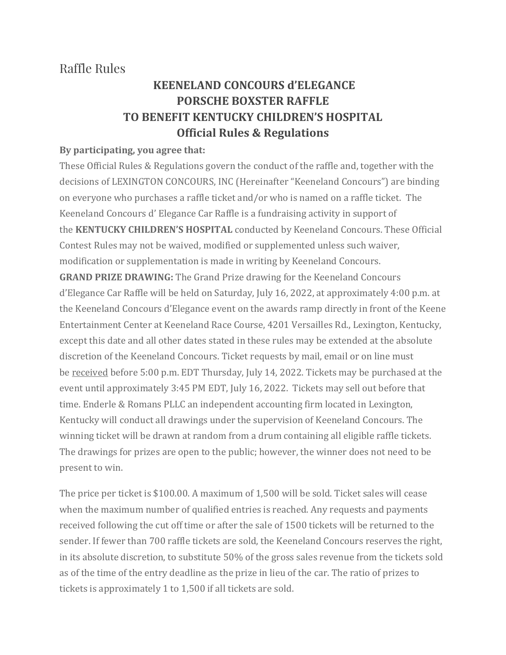## Raffle Rules

## **KEENELAND CONCOURS d'ELEGANCE PORSCHE BOXSTER RAFFLE TO BENEFIT KENTUCKY CHILDREN'S HOSPITAL Official Rules & Regulations**

## **By participating, you agree that:**

These Official Rules & Regulations govern the conduct of the raffle and, together with the decisions of LEXINGTON CONCOURS, INC (Hereinafter "Keeneland Concours") are binding on everyone who purchases a raffle ticket and/or who is named on a raffle ticket. The Keeneland Concours d' Elegance Car Raffle is a fundraising activity in support of the **KENTUCKY CHILDREN'S HOSPITAL** conducted by Keeneland Concours. These Official Contest Rules may not be waived, modified or supplemented unless such waiver, modification or supplementation is made in writing by Keeneland Concours. **GRAND PRIZE DRAWING:** The Grand Prize drawing for the Keeneland Concours d'Elegance Car Raffle will be held on Saturday, July 16, 2022, at approximately 4:00 p.m. at the Keeneland Concours d'Elegance event on the awards ramp directly in front of the Keene Entertainment Center at Keeneland Race Course, 4201 Versailles Rd., Lexington, Kentucky, except this date and all other dates stated in these rules may be extended at the absolute discretion of the Keeneland Concours. Ticket requests by mail, email or on line must be received before 5:00 p.m. EDT Thursday, July 14, 2022. Tickets may be purchased at the event until approximately 3:45 PM EDT, July 16, 2022. Tickets may sell out before that time. Enderle & Romans PLLC an independent accounting firm located in Lexington, Kentucky will conduct all drawings under the supervision of Keeneland Concours. The winning ticket will be drawn at random from a drum containing all eligible raffle tickets. The drawings for prizes are open to the public; however, the winner does not need to be present to win.

The price per ticket is \$100.00. A maximum of 1,500 will be sold. Ticket sales will cease when the maximum number of qualified entries is reached. Any requests and payments received following the cut off time or after the sale of 1500 tickets will be returned to the sender. If fewer than 700 raffle tickets are sold, the Keeneland Concours reserves the right, in its absolute discretion, to substitute 50% of the gross sales revenue from the tickets sold as of the time of the entry deadline as the prize in lieu of the car. The ratio of prizes to tickets is approximately 1 to 1,500 if all tickets are sold.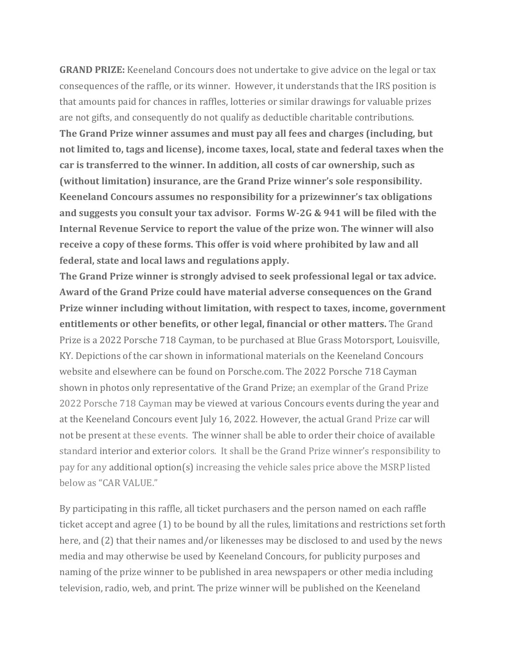**GRAND PRIZE:** Keeneland Concours does not undertake to give advice on the legal or tax consequences of the raffle, or its winner. However, it understands that the IRS position is that amounts paid for chances in raffles, lotteries or similar drawings for valuable prizes are not gifts, and consequently do not qualify as deductible charitable contributions. **The Grand Prize winner assumes and must pay all fees and charges (including, but not limited to, tags and license), income taxes, local, state and federal taxes when the car is transferred to the winner. In addition, all costs of car ownership, such as (without limitation) insurance, are the Grand Prize winner's sole responsibility. Keeneland Concours assumes no responsibility for a prizewinner's tax obligations and suggests you consult your tax advisor. Forms W-2G & 941 will be filed with the Internal Revenue Service to report the value of the prize won. The winner will also receive a copy of these forms. This offer is void where prohibited by law and all federal, state and local laws and regulations apply.**

**The Grand Prize winner is strongly advised to seek professional legal or tax advice. Award of the Grand Prize could have material adverse consequences on the Grand Prize winner including without limitation, with respect to taxes, income, government entitlements or other benefits, or other legal, financial or other matters.** The Grand Prize is a 2022 Porsche 718 Cayman, to be purchased at Blue Grass Motorsport, Louisville, KY. Depictions of the car shown in informational materials on the Keeneland Concours website and elsewhere can be found on Porsche.com. The 2022 Porsche 718 Cayman shown in photos only representative of the Grand Prize; an exemplar of the Grand Prize 2022 Porsche 718 Cayman may be viewed at various Concours events during the year and at the Keeneland Concours event July 16, 2022. However, the actual Grand Prize car will not be present at these events. The winner shall be able to order their choice of available standard interior and exterior colors. It shall be the Grand Prize winner's responsibility to pay for any additional option(s) increasing the vehicle sales price above the MSRP listed below as "CAR VALUE."

By participating in this raffle, all ticket purchasers and the person named on each raffle ticket accept and agree (1) to be bound by all the rules, limitations and restrictions set forth here, and (2) that their names and/or likenesses may be disclosed to and used by the news media and may otherwise be used by Keeneland Concours, for publicity purposes and naming of the prize winner to be published in area newspapers or other media including television, radio, web, and print. The prize winner will be published on the Keeneland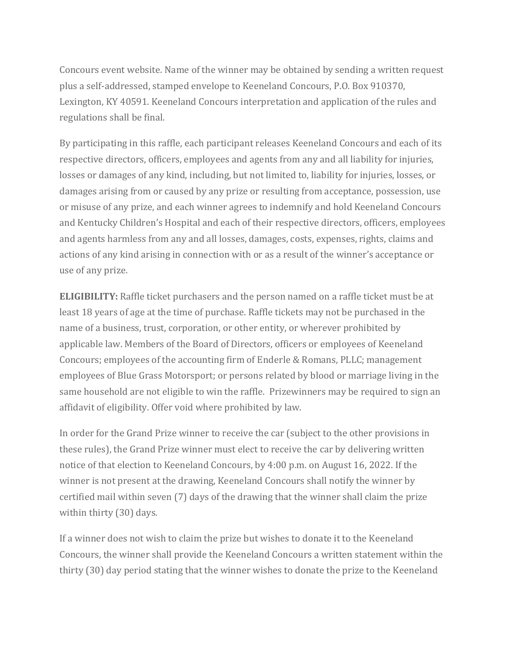Concours event website. Name of the winner may be obtained by sending a written request plus a self-addressed, stamped envelope to Keeneland Concours, P.O. Box 910370, Lexington, KY 40591. Keeneland Concours interpretation and application of the rules and regulations shall be final.

By participating in this raffle, each participant releases Keeneland Concours and each of its respective directors, officers, employees and agents from any and all liability for injuries, losses or damages of any kind, including, but not limited to, liability for injuries, losses, or damages arising from or caused by any prize or resulting from acceptance, possession, use or misuse of any prize, and each winner agrees to indemnify and hold Keeneland Concours and Kentucky Children's Hospital and each of their respective directors, officers, employees and agents harmless from any and all losses, damages, costs, expenses, rights, claims and actions of any kind arising in connection with or as a result of the winner's acceptance or use of any prize.

**ELIGIBILITY:** Raffle ticket purchasers and the person named on a raffle ticket must be at least 18 years of age at the time of purchase. Raffle tickets may not be purchased in the name of a business, trust, corporation, or other entity, or wherever prohibited by applicable law. Members of the Board of Directors, officers or employees of Keeneland Concours; employees of the accounting firm of Enderle & Romans, PLLC; management employees of Blue Grass Motorsport; or persons related by blood or marriage living in the same household are not eligible to win the raffle. Prizewinners may be required to sign an affidavit of eligibility. Offer void where prohibited by law.

In order for the Grand Prize winner to receive the car (subject to the other provisions in these rules), the Grand Prize winner must elect to receive the car by delivering written notice of that election to Keeneland Concours, by 4:00 p.m. on August 16, 2022. If the winner is not present at the drawing, Keeneland Concours shall notify the winner by certified mail within seven (7) days of the drawing that the winner shall claim the prize within thirty (30) days.

If a winner does not wish to claim the prize but wishes to donate it to the Keeneland Concours, the winner shall provide the Keeneland Concours a written statement within the thirty (30) day period stating that the winner wishes to donate the prize to the Keeneland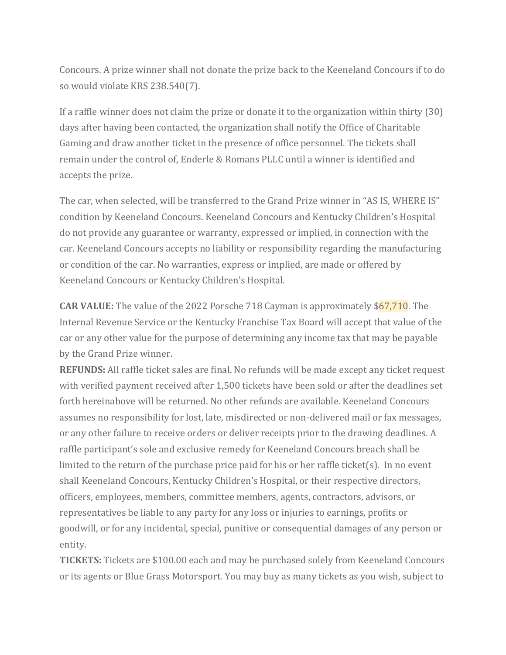Concours. A prize winner shall not donate the prize back to the Keeneland Concours if to do so would violate KRS 238.540(7).

If a raffle winner does not claim the prize or donate it to the organization within thirty (30) days after having been contacted, the organization shall notify the Office of Charitable Gaming and draw another ticket in the presence of office personnel. The tickets shall remain under the control of, Enderle & Romans PLLC until a winner is identified and accepts the prize.

The car, when selected, will be transferred to the Grand Prize winner in "AS IS, WHERE IS" condition by Keeneland Concours. Keeneland Concours and Kentucky Children's Hospital do not provide any guarantee or warranty, expressed or implied, in connection with the car. Keeneland Concours accepts no liability or responsibility regarding the manufacturing or condition of the car. No warranties, express or implied, are made or offered by Keeneland Concours or Kentucky Children's Hospital.

**CAR VALUE:** The value of the 2022 Porsche 718 Cayman is approximately \$67,710. The Internal Revenue Service or the Kentucky Franchise Tax Board will accept that value of the car or any other value for the purpose of determining any income tax that may be payable by the Grand Prize winner.

**REFUNDS:** All raffle ticket sales are final. No refunds will be made except any ticket request with verified payment received after 1,500 tickets have been sold or after the deadlines set forth hereinabove will be returned. No other refunds are available. Keeneland Concours assumes no responsibility for lost, late, misdirected or non-delivered mail or fax messages, or any other failure to receive orders or deliver receipts prior to the drawing deadlines. A raffle participant's sole and exclusive remedy for Keeneland Concours breach shall be limited to the return of the purchase price paid for his or her raffle ticket(s). In no event shall Keeneland Concours, Kentucky Children's Hospital, or their respective directors, officers, employees, members, committee members, agents, contractors, advisors, or representatives be liable to any party for any loss or injuries to earnings, profits or goodwill, or for any incidental, special, punitive or consequential damages of any person or entity.

**TICKETS:** Tickets are \$100.00 each and may be purchased solely from Keeneland Concours or its agents or Blue Grass Motorsport. You may buy as many tickets as you wish, subject to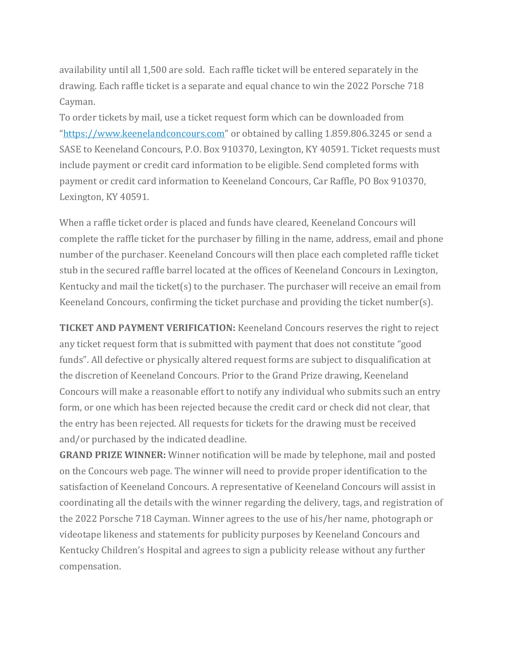availability until all 1,500 are sold. Each raffle ticket will be entered separately in the drawing. Each raffle ticket is a separate and equal chance to win the 2022 Porsche 718 Cayman.

To order tickets by mail, use a ticket request form which can be downloaded from "[https://www.keenelandconcours.com](https://www.keenelandconcours.com/)" or obtained by calling 1.859.806.3245 or send a SASE to Keeneland Concours, P.O. Box 910370, Lexington, KY 40591. Ticket requests must include payment or credit card information to be eligible. Send completed forms with payment or credit card information to Keeneland Concours, Car Raffle, PO Box 910370, Lexington, KY 40591.

When a raffle ticket order is placed and funds have cleared, Keeneland Concours will complete the raffle ticket for the purchaser by filling in the name, address, email and phone number of the purchaser. Keeneland Concours will then place each completed raffle ticket stub in the secured raffle barrel located at the offices of Keeneland Concours in Lexington, Kentucky and mail the ticket(s) to the purchaser. The purchaser will receive an email from Keeneland Concours, confirming the ticket purchase and providing the ticket number(s).

**TICKET AND PAYMENT VERIFICATION:** Keeneland Concours reserves the right to reject any ticket request form that is submitted with payment that does not constitute "good funds". All defective or physically altered request forms are subject to disqualification at the discretion of Keeneland Concours. Prior to the Grand Prize drawing, Keeneland Concours will make a reasonable effort to notify any individual who submits such an entry form, or one which has been rejected because the credit card or check did not clear, that the entry has been rejected. All requests for tickets for the drawing must be received and/or purchased by the indicated deadline.

**GRAND PRIZE WINNER:** Winner notification will be made by telephone, mail and posted on the Concours web page. The winner will need to provide proper identification to the satisfaction of Keeneland Concours. A representative of Keeneland Concours will assist in coordinating all the details with the winner regarding the delivery, tags, and registration of the 2022 Porsche 718 Cayman. Winner agrees to the use of his/her name, photograph or videotape likeness and statements for publicity purposes by Keeneland Concours and Kentucky Children's Hospital and agrees to sign a publicity release without any further compensation.